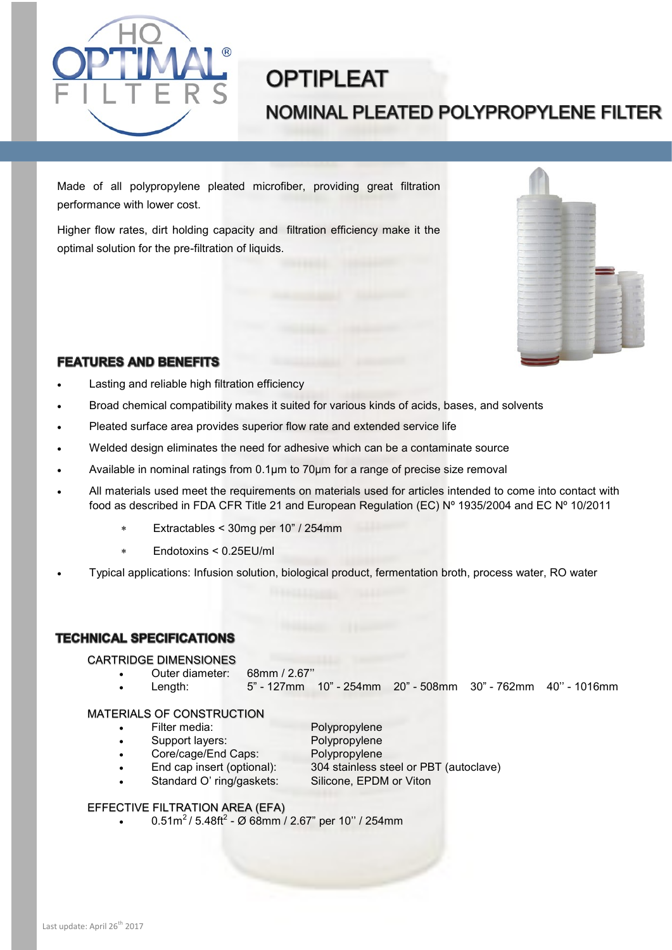

# **OPTIPLEAT** NOMINAL PLEATED POLYPROPYLENE FILTER

Made of all polypropylene pleated microfiber, providing great filtration performance with lower cost.

Higher flow rates, dirt holding capacity and filtration efficiency make it the optimal solution for the pre-filtration of liquids.



# **FEATURES AND BENEFITS**

- Lasting and reliable high filtration efficiency
- Broad chemical compatibility makes it suited for various kinds of acids, bases, and solvents
- Pleated surface area provides superior flow rate and extended service life
- Welded design eliminates the need for adhesive which can be a contaminate source
- Available in nominal ratings from 0.1µm to 70µm for a range of precise size removal
- All materials used meet the requirements on materials used for articles intended to come into contact with food as described in FDA CFR Title 21 and European Regulation (EC) Nº 1935/2004 and EC Nº 10/2011
	- Extractables < 30mg per 10" / 254mm
	- Endotoxins < 0.25EU/ml
- Typical applications: Infusion solution, biological product, fermentation broth, process water, RO water

## **TECHNICAL SPECIFICATIONS**

#### CARTRIDGE DIMENSIONES

- Outer diameter: 68mm / 2.67''
- Length: 5" 127mm 10" 254mm 20" 508mm 30" 762mm 40'' 1016mm

#### MATERIALS OF CONSTRUCTION

- Filter media: Polypropylene
	-
- 
- Support layers: Polypropylene
	- Core/cage/End Caps: Polypropylene
- - - End cap insert (optional): 304 stainless steel or PBT (autoclave)
- Standard O' ring/gaskets: Silicone, EPDM or Viton
	-

## EFFECTIVE FILTRATION AREA (EFA)

• 0.51m<sup>2</sup>/ 5.48ft<sup>2</sup> - Ø 68mm / 2.67" per 10" / 254mm